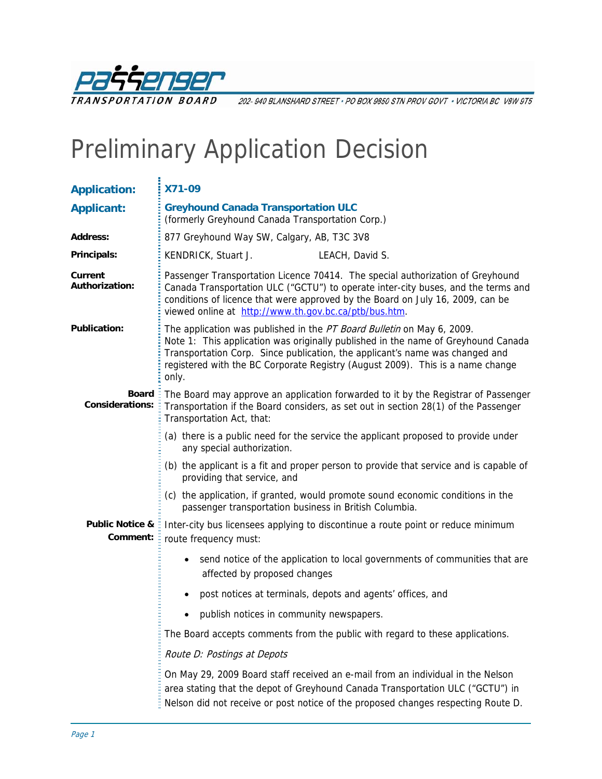

202-940 BLANSHARD STREET · PO BOX 9850 STN PROV GOVT · VICTORIA BC V8W 9T5

# Preliminary Application Decision

| <b>Application:</b>                    | X71-09                                                                                                                                                                                                                                                                                                                                 |  |  |
|----------------------------------------|----------------------------------------------------------------------------------------------------------------------------------------------------------------------------------------------------------------------------------------------------------------------------------------------------------------------------------------|--|--|
| <b>Applicant:</b>                      | <b>Greyhound Canada Transportation ULC</b><br>(formerly Greyhound Canada Transportation Corp.)                                                                                                                                                                                                                                         |  |  |
| <b>Address:</b>                        | 877 Greyhound Way SW, Calgary, AB, T3C 3V8                                                                                                                                                                                                                                                                                             |  |  |
| Principals:                            | KENDRICK, Stuart J.<br>LEACH, David S.                                                                                                                                                                                                                                                                                                 |  |  |
| Current<br><b>Authorization:</b>       | Passenger Transportation Licence 70414. The special authorization of Greyhound<br>Canada Transportation ULC ("GCTU") to operate inter-city buses, and the terms and<br>conditions of licence that were approved by the Board on July 16, 2009, can be<br>viewed online at http://www.th.gov.bc.ca/ptb/bus.htm.                         |  |  |
| <b>Publication:</b>                    | The application was published in the PT Board Bulletin on May 6, 2009.<br>Note 1: This application was originally published in the name of Greyhound Canada<br>Transportation Corp. Since publication, the applicant's name was changed and<br>registered with the BC Corporate Registry (August 2009). This is a name change<br>only. |  |  |
| <b>Board</b><br><b>Considerations:</b> | The Board may approve an application forwarded to it by the Registrar of Passenger<br>Transportation if the Board considers, as set out in section 28(1) of the Passenger<br>Transportation Act, that:                                                                                                                                 |  |  |
|                                        | (a) there is a public need for the service the applicant proposed to provide under<br>any special authorization.                                                                                                                                                                                                                       |  |  |
|                                        | (b) the applicant is a fit and proper person to provide that service and is capable of<br>providing that service, and                                                                                                                                                                                                                  |  |  |
|                                        | (c) the application, if granted, would promote sound economic conditions in the<br>passenger transportation business in British Columbia.                                                                                                                                                                                              |  |  |
| <b>Public Notice &amp;</b><br>Comment: | Inter-city bus licensees applying to discontinue a route point or reduce minimum<br>route frequency must:                                                                                                                                                                                                                              |  |  |
|                                        | send notice of the application to local governments of communities that are<br>affected by proposed changes                                                                                                                                                                                                                            |  |  |
|                                        | post notices at terminals, depots and agents' offices, and<br>$\bullet$                                                                                                                                                                                                                                                                |  |  |
|                                        | publish notices in community newspapers.                                                                                                                                                                                                                                                                                               |  |  |
|                                        | The Board accepts comments from the public with regard to these applications.                                                                                                                                                                                                                                                          |  |  |
|                                        | Route D: Postings at Depots                                                                                                                                                                                                                                                                                                            |  |  |
|                                        | On May 29, 2009 Board staff received an e-mail from an individual in the Nelson<br>area stating that the depot of Greyhound Canada Transportation ULC ("GCTU") in<br>Nelson did not receive or post notice of the proposed changes respecting Route D.                                                                                 |  |  |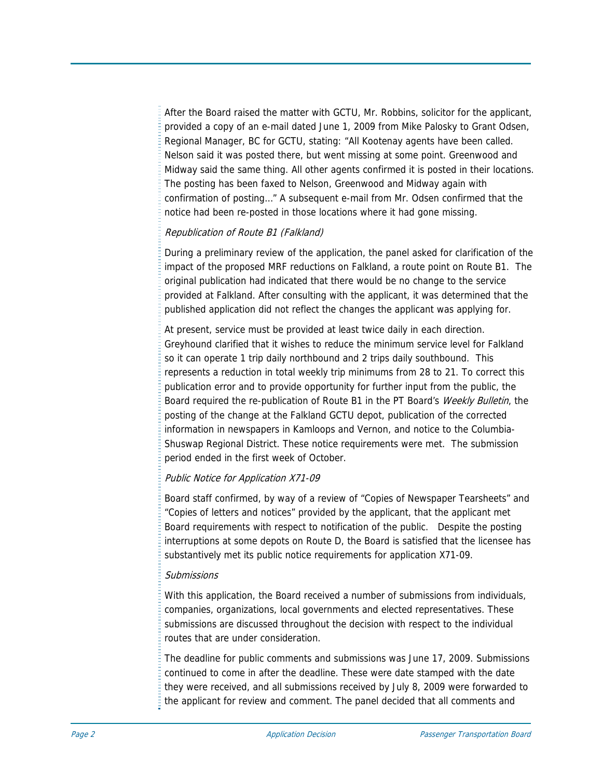After the Board raised the matter with GCTU, Mr. Robbins, solicitor for the applicant, provided a copy of an e-mail dated June 1, 2009 from Mike Palosky to Grant Odsen, Regional Manager, BC for GCTU, stating: "All Kootenay agents have been called. Nelson said it was posted there, but went missing at some point. Greenwood and Midway said the same thing. All other agents confirmed it is posted in their locations. The posting has been faxed to Nelson, Greenwood and Midway again with confirmation of posting…" A subsequent e-mail from Mr. Odsen confirmed that the notice had been re-posted in those locations where it had gone missing.

#### Republication of Route B1 (Falkland)

During a preliminary review of the application, the panel asked for clarification of the impact of the proposed MRF reductions on Falkland, a route point on Route B1. The original publication had indicated that there would be no change to the service provided at Falkland. After consulting with the applicant, it was determined that the published application did not reflect the changes the applicant was applying for.

At present, service must be provided at least twice daily in each direction. Greyhound clarified that it wishes to reduce the minimum service level for Falkland so it can operate 1 trip daily northbound and 2 trips daily southbound. This represents a reduction in total weekly trip minimums from 28 to 21. To correct this publication error and to provide opportunity for further input from the public, the Board required the re-publication of Route B1 in the PT Board's Weekly Bulletin, the posting of the change at the Falkland GCTU depot, publication of the corrected information in newspapers in Kamloops and Vernon, and notice to the Columbia-Shuswap Regional District. These notice requirements were met. The submission period ended in the first week of October.

#### Public Notice for Application X71-09

Board staff confirmed, by way of a review of "Copies of Newspaper Tearsheets" and "Copies of letters and notices" provided by the applicant, that the applicant met Board requirements with respect to notification of the public. Despite the posting interruptions at some depots on Route D, the Board is satisfied that the licensee has substantively met its public notice requirements for application X71-09.

#### Submissions

With this application, the Board received a number of submissions from individuals, companies, organizations, local governments and elected representatives. These submissions are discussed throughout the decision with respect to the individual routes that are under consideration.

The deadline for public comments and submissions was June 17, 2009. Submissions continued to come in after the deadline. These were date stamped with the date they were received, and all submissions received by July 8, 2009 were forwarded to the applicant for review and comment. The panel decided that all comments and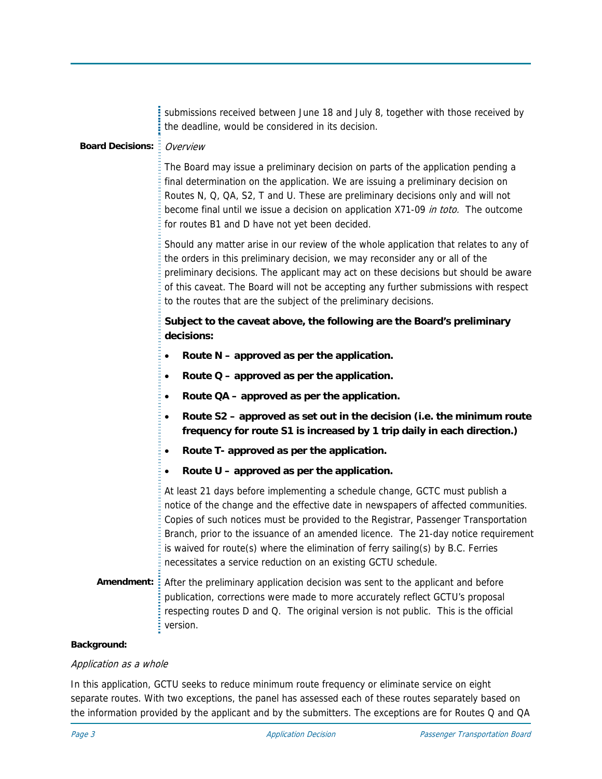|                           | submissions received between June 18 and July 8, together with those received by<br>the deadline, would be considered in its decision.                                                                                                                                                                                                                                                                                                                                                              |
|---------------------------|-----------------------------------------------------------------------------------------------------------------------------------------------------------------------------------------------------------------------------------------------------------------------------------------------------------------------------------------------------------------------------------------------------------------------------------------------------------------------------------------------------|
| <b>Board Decisions: E</b> | Overview                                                                                                                                                                                                                                                                                                                                                                                                                                                                                            |
|                           | The Board may issue a preliminary decision on parts of the application pending a<br>final determination on the application. We are issuing a preliminary decision on<br>Routes N, Q, QA, S2, T and U. These are preliminary decisions only and will not<br>become final until we issue a decision on application X71-09 in toto. The outcome<br>for routes B1 and D have not yet been decided.                                                                                                      |
|                           | Should any matter arise in our review of the whole application that relates to any of<br>the orders in this preliminary decision, we may reconsider any or all of the<br>preliminary decisions. The applicant may act on these decisions but should be aware<br>of this caveat. The Board will not be accepting any further submissions with respect<br>to the routes that are the subject of the preliminary decisions.                                                                            |
|                           | Subject to the caveat above, the following are the Board's preliminary<br>decisions:                                                                                                                                                                                                                                                                                                                                                                                                                |
|                           | Route N - approved as per the application.<br>$\bullet$                                                                                                                                                                                                                                                                                                                                                                                                                                             |
|                           | Route $Q$ – approved as per the application.<br>٠                                                                                                                                                                                                                                                                                                                                                                                                                                                   |
|                           | Route QA – approved as per the application.<br>٠                                                                                                                                                                                                                                                                                                                                                                                                                                                    |
|                           | Route S2 - approved as set out in the decision (i.e. the minimum route<br>$\bullet$<br>frequency for route S1 is increased by 1 trip daily in each direction.)                                                                                                                                                                                                                                                                                                                                      |
|                           | Route T- approved as per the application.<br>٠                                                                                                                                                                                                                                                                                                                                                                                                                                                      |
|                           | Route U - approved as per the application.<br>$\bullet$                                                                                                                                                                                                                                                                                                                                                                                                                                             |
|                           | At least 21 days before implementing a schedule change, GCTC must publish a<br>notice of the change and the effective date in newspapers of affected communities.<br>Copies of such notices must be provided to the Registrar, Passenger Transportation<br>Branch, prior to the issuance of an amended licence. The 21-day notice requirement<br>is waived for route(s) where the elimination of ferry sailing(s) by B.C. Ferries<br>necessitates a service reduction on an existing GCTU schedule. |
|                           | Amendment: After the preliminary application decision was sent to the applicant and before<br>publication, corrections were made to more accurately reflect GCTU's proposal<br>respecting routes D and Q. The original version is not public. This is the official<br>version.                                                                                                                                                                                                                      |
| akarawa                   |                                                                                                                                                                                                                                                                                                                                                                                                                                                                                                     |

# **Background:**

## Application as a whole

In this application, GCTU seeks to reduce minimum route frequency or eliminate service on eight separate routes. With two exceptions, the panel has assessed each of these routes separately based on the information provided by the applicant and by the submitters. The exceptions are for Routes Q and QA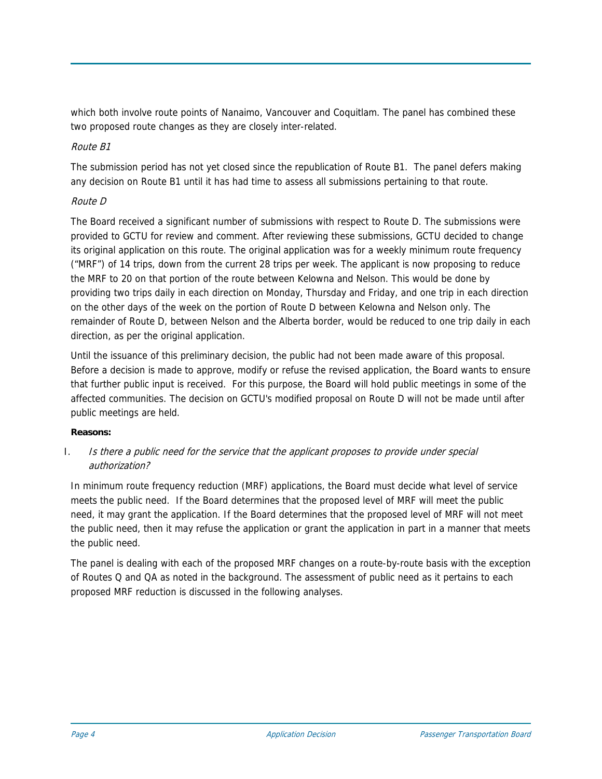which both involve route points of Nanaimo, Vancouver and Coquitlam. The panel has combined these two proposed route changes as they are closely inter-related.

## Route B1

The submission period has not yet closed since the republication of Route B1. The panel defers making any decision on Route B1 until it has had time to assess all submissions pertaining to that route.

#### Route D

The Board received a significant number of submissions with respect to Route D. The submissions were provided to GCTU for review and comment. After reviewing these submissions, GCTU decided to change its original application on this route. The original application was for a weekly minimum route frequency ("MRF") of 14 trips, down from the current 28 trips per week. The applicant is now proposing to reduce the MRF to 20 on that portion of the route between Kelowna and Nelson. This would be done by providing two trips daily in each direction on Monday, Thursday and Friday, and one trip in each direction on the other days of the week on the portion of Route D between Kelowna and Nelson only. The remainder of Route D, between Nelson and the Alberta border, would be reduced to one trip daily in each direction, as per the original application.

Until the issuance of this preliminary decision, the public had not been made aware of this proposal. Before a decision is made to approve, modify or refuse the revised application, the Board wants to ensure that further public input is received. For this purpose, the Board will hold public meetings in some of the affected communities. The decision on GCTU's modified proposal on Route D will not be made until after public meetings are held.

#### **Reasons:**

## I. Is there a public need for the service that the applicant proposes to provide under special authorization?

In minimum route frequency reduction (MRF) applications, the Board must decide what level of service meets the public need. If the Board determines that the proposed level of MRF will meet the public need, it may grant the application. If the Board determines that the proposed level of MRF will not meet the public need, then it may refuse the application or grant the application in part in a manner that meets the public need.

The panel is dealing with each of the proposed MRF changes on a route-by-route basis with the exception of Routes Q and QA as noted in the background. The assessment of public need as it pertains to each proposed MRF reduction is discussed in the following analyses.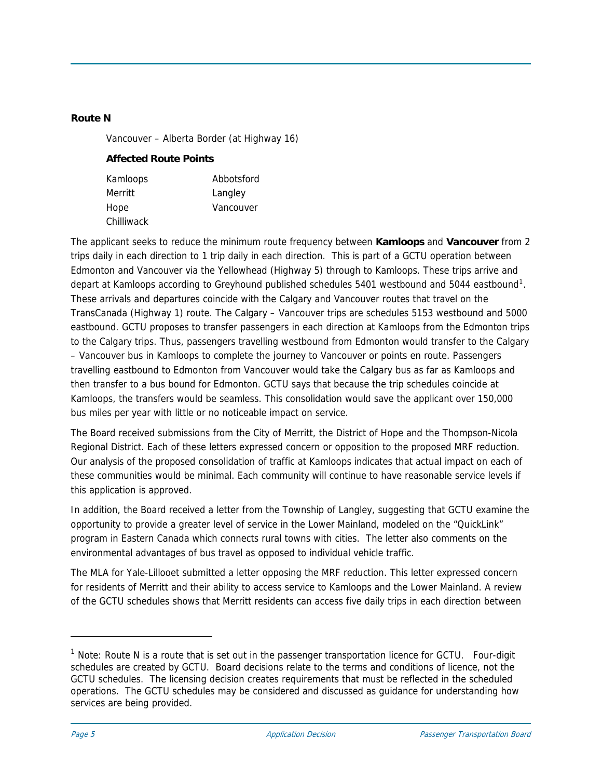#### **Route N**

Vancouver – Alberta Border (at Highway 16)

#### **Affected Route Points**

| Kamloops   | Abbotsford |
|------------|------------|
| Merritt    | Langley    |
| Hope       | Vancouver  |
| Chilliwack |            |

The applicant seeks to reduce the minimum route frequency between **Kamloops** and **Vancouver** from 2 trips daily in each direction to 1 trip daily in each direction. This is part of a GCTU operation between Edmonton and Vancouver via the Yellowhead (Highway 5) through to Kamloops. These trips arrive and depart at Kamloops according to Greyhound published schedules 540[1](#page-4-0) westbound and 5044 eastbound<sup>1</sup>. These arrivals and departures coincide with the Calgary and Vancouver routes that travel on the TransCanada (Highway 1) route. The Calgary – Vancouver trips are schedules 5153 westbound and 5000 eastbound. GCTU proposes to transfer passengers in each direction at Kamloops from the Edmonton trips to the Calgary trips. Thus, passengers travelling westbound from Edmonton would transfer to the Calgary – Vancouver bus in Kamloops to complete the journey to Vancouver or points en route. Passengers travelling eastbound to Edmonton from Vancouver would take the Calgary bus as far as Kamloops and then transfer to a bus bound for Edmonton. GCTU says that because the trip schedules coincide at Kamloops, the transfers would be seamless. This consolidation would save the applicant over 150,000 bus miles per year with little or no noticeable impact on service.

The Board received submissions from the City of Merritt, the District of Hope and the Thompson-Nicola Regional District. Each of these letters expressed concern or opposition to the proposed MRF reduction. Our analysis of the proposed consolidation of traffic at Kamloops indicates that actual impact on each of these communities would be minimal. Each community will continue to have reasonable service levels if this application is approved.

In addition, the Board received a letter from the Township of Langley, suggesting that GCTU examine the opportunity to provide a greater level of service in the Lower Mainland, modeled on the "QuickLink" program in Eastern Canada which connects rural towns with cities. The letter also comments on the environmental advantages of bus travel as opposed to individual vehicle traffic.

The MLA for Yale-Lillooet submitted a letter opposing the MRF reduction. This letter expressed concern for residents of Merritt and their ability to access service to Kamloops and the Lower Mainland. A review of the GCTU schedules shows that Merritt residents can access five daily trips in each direction between

j

<span id="page-4-0"></span> $1$  Note: Route N is a route that is set out in the passenger transportation licence for GCTU. Four-digit schedules are created by GCTU. Board decisions relate to the terms and conditions of licence, not the GCTU schedules. The licensing decision creates requirements that must be reflected in the scheduled operations. The GCTU schedules may be considered and discussed as guidance for understanding how services are being provided.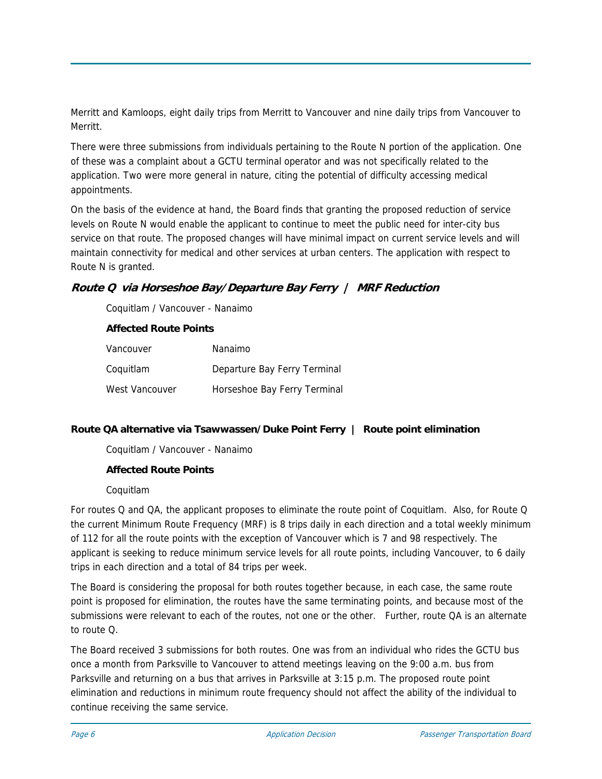Merritt and Kamloops, eight daily trips from Merritt to Vancouver and nine daily trips from Vancouver to Merritt.

There were three submissions from individuals pertaining to the Route N portion of the application. One of these was a complaint about a GCTU terminal operator and was not specifically related to the application. Two were more general in nature, citing the potential of difficulty accessing medical appointments.

On the basis of the evidence at hand, the Board finds that granting the proposed reduction of service levels on Route N would enable the applicant to continue to meet the public need for inter-city bus service on that route. The proposed changes will have minimal impact on current service levels and will maintain connectivity for medical and other services at urban centers. The application with respect to Route N is granted.

# **Route Q via Horseshoe Bay/Departure Bay Ferry | MRF Reduction**

Coquitlam / Vancouver - Nanaimo

#### **Affected Route Points**

| Vancouver      | Nanaimo                      |
|----------------|------------------------------|
| Coquitlam      | Departure Bay Ferry Terminal |
| West Vancouver | Horseshoe Bay Ferry Terminal |

## **Route QA alternative via Tsawwassen/Duke Point Ferry | Route point elimination**

Coquitlam / Vancouver - Nanaimo

## **Affected Route Points**

#### Coquitlam

For routes Q and QA, the applicant proposes to eliminate the route point of Coquitlam. Also, for Route Q the current Minimum Route Frequency (MRF) is 8 trips daily in each direction and a total weekly minimum of 112 for all the route points with the exception of Vancouver which is 7 and 98 respectively. The applicant is seeking to reduce minimum service levels for all route points, including Vancouver, to 6 daily trips in each direction and a total of 84 trips per week.

The Board is considering the proposal for both routes together because, in each case, the same route point is proposed for elimination, the routes have the same terminating points, and because most of the submissions were relevant to each of the routes, not one or the other. Further, route QA is an alternate to route Q.

The Board received 3 submissions for both routes. One was from an individual who rides the GCTU bus once a month from Parksville to Vancouver to attend meetings leaving on the 9:00 a.m. bus from Parksville and returning on a bus that arrives in Parksville at 3:15 p.m. The proposed route point elimination and reductions in minimum route frequency should not affect the ability of the individual to continue receiving the same service.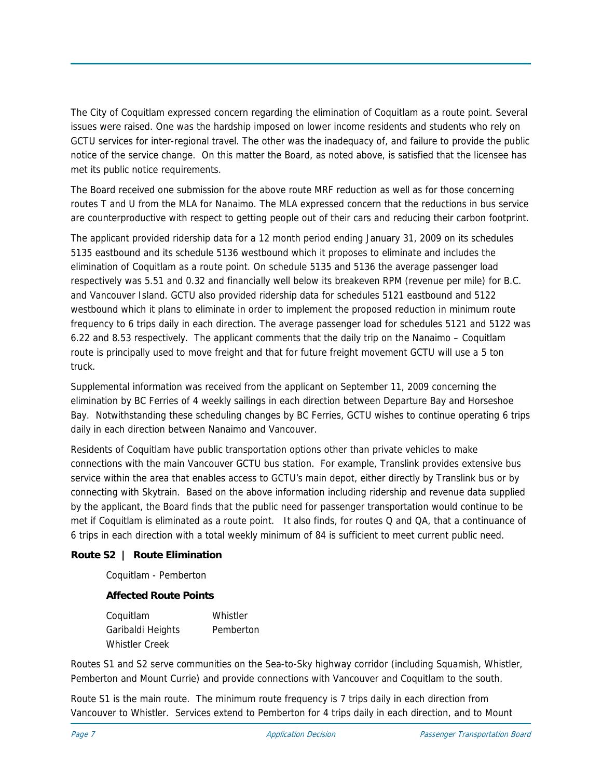The City of Coquitlam expressed concern regarding the elimination of Coquitlam as a route point. Several issues were raised. One was the hardship imposed on lower income residents and students who rely on GCTU services for inter-regional travel. The other was the inadequacy of, and failure to provide the public notice of the service change. On this matter the Board, as noted above, is satisfied that the licensee has met its public notice requirements.

The Board received one submission for the above route MRF reduction as well as for those concerning routes T and U from the MLA for Nanaimo. The MLA expressed concern that the reductions in bus service are counterproductive with respect to getting people out of their cars and reducing their carbon footprint.

The applicant provided ridership data for a 12 month period ending January 31, 2009 on its schedules 5135 eastbound and its schedule 5136 westbound which it proposes to eliminate and includes the elimination of Coquitlam as a route point. On schedule 5135 and 5136 the average passenger load respectively was 5.51 and 0.32 and financially well below its breakeven RPM (revenue per mile) for B.C. and Vancouver Island. GCTU also provided ridership data for schedules 5121 eastbound and 5122 westbound which it plans to eliminate in order to implement the proposed reduction in minimum route frequency to 6 trips daily in each direction. The average passenger load for schedules 5121 and 5122 was 6.22 and 8.53 respectively. The applicant comments that the daily trip on the Nanaimo – Coquitlam route is principally used to move freight and that for future freight movement GCTU will use a 5 ton truck.

Supplemental information was received from the applicant on September 11, 2009 concerning the elimination by BC Ferries of 4 weekly sailings in each direction between Departure Bay and Horseshoe Bay. Notwithstanding these scheduling changes by BC Ferries, GCTU wishes to continue operating 6 trips daily in each direction between Nanaimo and Vancouver.

Residents of Coquitlam have public transportation options other than private vehicles to make connections with the main Vancouver GCTU bus station. For example, Translink provides extensive bus service within the area that enables access to GCTU's main depot, either directly by Translink bus or by connecting with Skytrain. Based on the above information including ridership and revenue data supplied by the applicant, the Board finds that the public need for passenger transportation would continue to be met if Coquitlam is eliminated as a route point. It also finds, for routes Q and QA, that a continuance of 6 trips in each direction with a total weekly minimum of 84 is sufficient to meet current public need.

## **Route S2 | Route Elimination**

Coquitlam - Pemberton

## **Affected Route Points**

Coquitlam Whistler Garibaldi Heights Pemberton Whistler Creek

Routes S1 and S2 serve communities on the Sea-to-Sky highway corridor (including Squamish, Whistler, Pemberton and Mount Currie) and provide connections with Vancouver and Coquitlam to the south.

Route S1 is the main route. The minimum route frequency is 7 trips daily in each direction from Vancouver to Whistler. Services extend to Pemberton for 4 trips daily in each direction, and to Mount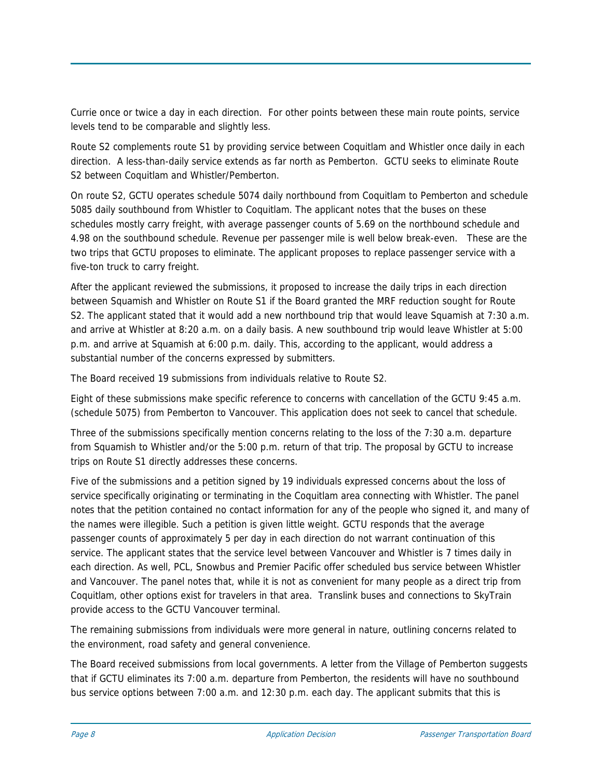Currie once or twice a day in each direction. For other points between these main route points, service levels tend to be comparable and slightly less.

Route S2 complements route S1 by providing service between Coquitlam and Whistler once daily in each direction. A less-than-daily service extends as far north as Pemberton. GCTU seeks to eliminate Route S2 between Coquitlam and Whistler/Pemberton.

On route S2, GCTU operates schedule 5074 daily northbound from Coquitlam to Pemberton and schedule 5085 daily southbound from Whistler to Coquitlam. The applicant notes that the buses on these schedules mostly carry freight, with average passenger counts of 5.69 on the northbound schedule and 4.98 on the southbound schedule. Revenue per passenger mile is well below break-even. These are the two trips that GCTU proposes to eliminate. The applicant proposes to replace passenger service with a five-ton truck to carry freight.

After the applicant reviewed the submissions, it proposed to increase the daily trips in each direction between Squamish and Whistler on Route S1 if the Board granted the MRF reduction sought for Route S2. The applicant stated that it would add a new northbound trip that would leave Squamish at 7:30 a.m. and arrive at Whistler at 8:20 a.m. on a daily basis. A new southbound trip would leave Whistler at 5:00 p.m. and arrive at Squamish at 6:00 p.m. daily. This, according to the applicant, would address a substantial number of the concerns expressed by submitters.

The Board received 19 submissions from individuals relative to Route S2.

Eight of these submissions make specific reference to concerns with cancellation of the GCTU 9:45 a.m. (schedule 5075) from Pemberton to Vancouver. This application does not seek to cancel that schedule.

Three of the submissions specifically mention concerns relating to the loss of the 7:30 a.m. departure from Squamish to Whistler and/or the 5:00 p.m. return of that trip. The proposal by GCTU to increase trips on Route S1 directly addresses these concerns.

Five of the submissions and a petition signed by 19 individuals expressed concerns about the loss of service specifically originating or terminating in the Coquitlam area connecting with Whistler. The panel notes that the petition contained no contact information for any of the people who signed it, and many of the names were illegible. Such a petition is given little weight. GCTU responds that the average passenger counts of approximately 5 per day in each direction do not warrant continuation of this service. The applicant states that the service level between Vancouver and Whistler is 7 times daily in each direction. As well, PCL, Snowbus and Premier Pacific offer scheduled bus service between Whistler and Vancouver. The panel notes that, while it is not as convenient for many people as a direct trip from Coquitlam, other options exist for travelers in that area. Translink buses and connections to SkyTrain provide access to the GCTU Vancouver terminal.

The remaining submissions from individuals were more general in nature, outlining concerns related to the environment, road safety and general convenience.

The Board received submissions from local governments. A letter from the Village of Pemberton suggests that if GCTU eliminates its 7:00 a.m. departure from Pemberton, the residents will have no southbound bus service options between 7:00 a.m. and 12:30 p.m. each day. The applicant submits that this is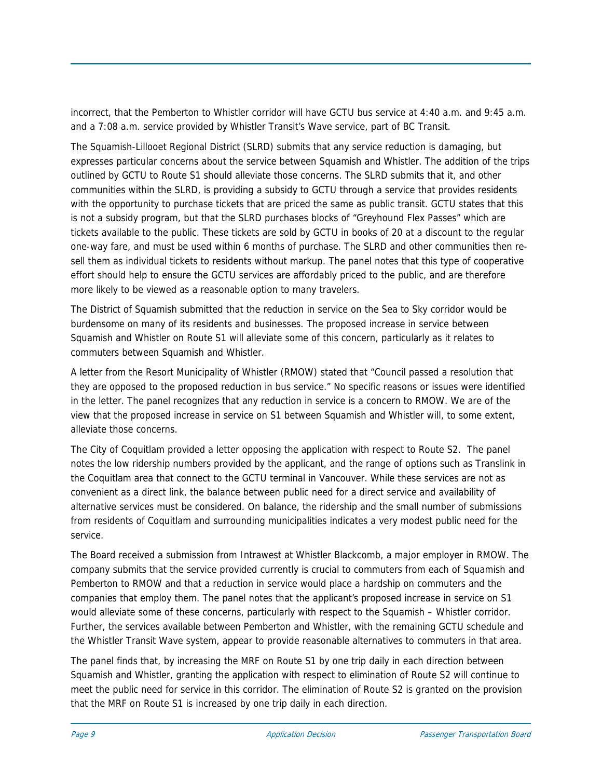incorrect, that the Pemberton to Whistler corridor will have GCTU bus service at 4:40 a.m. and 9:45 a.m. and a 7:08 a.m. service provided by Whistler Transit's Wave service, part of BC Transit.

The Squamish-Lillooet Regional District (SLRD) submits that any service reduction is damaging, but expresses particular concerns about the service between Squamish and Whistler. The addition of the trips outlined by GCTU to Route S1 should alleviate those concerns. The SLRD submits that it, and other communities within the SLRD, is providing a subsidy to GCTU through a service that provides residents with the opportunity to purchase tickets that are priced the same as public transit. GCTU states that this is not a subsidy program, but that the SLRD purchases blocks of "Greyhound Flex Passes" which are tickets available to the public. These tickets are sold by GCTU in books of 20 at a discount to the regular one-way fare, and must be used within 6 months of purchase. The SLRD and other communities then resell them as individual tickets to residents without markup. The panel notes that this type of cooperative effort should help to ensure the GCTU services are affordably priced to the public, and are therefore more likely to be viewed as a reasonable option to many travelers.

The District of Squamish submitted that the reduction in service on the Sea to Sky corridor would be burdensome on many of its residents and businesses. The proposed increase in service between Squamish and Whistler on Route S1 will alleviate some of this concern, particularly as it relates to commuters between Squamish and Whistler.

A letter from the Resort Municipality of Whistler (RMOW) stated that "Council passed a resolution that they are opposed to the proposed reduction in bus service." No specific reasons or issues were identified in the letter. The panel recognizes that any reduction in service is a concern to RMOW. We are of the view that the proposed increase in service on S1 between Squamish and Whistler will, to some extent, alleviate those concerns.

The City of Coquitlam provided a letter opposing the application with respect to Route S2. The panel notes the low ridership numbers provided by the applicant, and the range of options such as Translink in the Coquitlam area that connect to the GCTU terminal in Vancouver. While these services are not as convenient as a direct link, the balance between public need for a direct service and availability of alternative services must be considered. On balance, the ridership and the small number of submissions from residents of Coquitlam and surrounding municipalities indicates a very modest public need for the service.

The Board received a submission from Intrawest at Whistler Blackcomb, a major employer in RMOW. The company submits that the service provided currently is crucial to commuters from each of Squamish and Pemberton to RMOW and that a reduction in service would place a hardship on commuters and the companies that employ them. The panel notes that the applicant's proposed increase in service on S1 would alleviate some of these concerns, particularly with respect to the Squamish – Whistler corridor. Further, the services available between Pemberton and Whistler, with the remaining GCTU schedule and the Whistler Transit Wave system, appear to provide reasonable alternatives to commuters in that area.

The panel finds that, by increasing the MRF on Route S1 by one trip daily in each direction between Squamish and Whistler, granting the application with respect to elimination of Route S2 will continue to meet the public need for service in this corridor. The elimination of Route S2 is granted on the provision that the MRF on Route S1 is increased by one trip daily in each direction.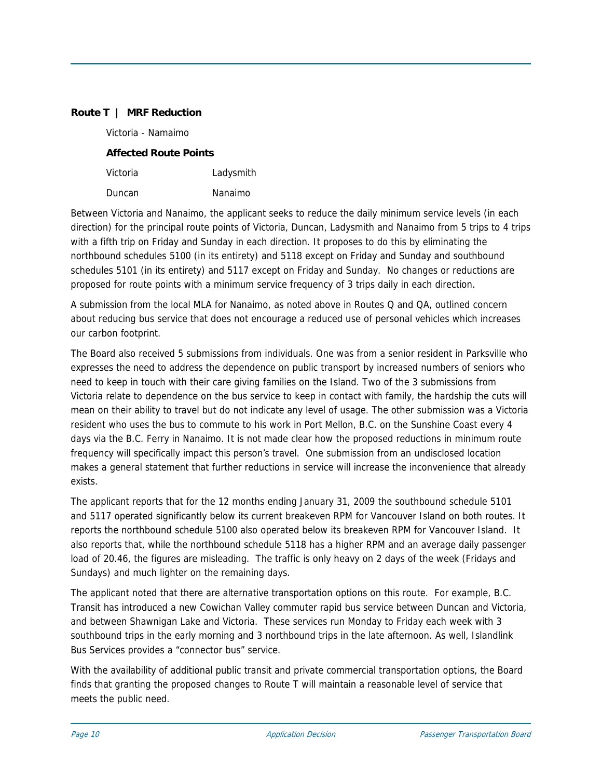#### **Route T | MRF Reduction**

| Victoria - Namaimo           |  |
|------------------------------|--|
| <b>Affected Route Points</b> |  |

| Victoria | Ladysmith |
|----------|-----------|
| Duncan   | Nanaimo   |

Between Victoria and Nanaimo, the applicant seeks to reduce the daily minimum service levels (in each direction) for the principal route points of Victoria, Duncan, Ladysmith and Nanaimo from 5 trips to 4 trips with a fifth trip on Friday and Sunday in each direction. It proposes to do this by eliminating the northbound schedules 5100 (in its entirety) and 5118 except on Friday and Sunday and southbound schedules 5101 (in its entirety) and 5117 except on Friday and Sunday. No changes or reductions are proposed for route points with a minimum service frequency of 3 trips daily in each direction.

A submission from the local MLA for Nanaimo, as noted above in Routes Q and QA, outlined concern about reducing bus service that does not encourage a reduced use of personal vehicles which increases our carbon footprint.

The Board also received 5 submissions from individuals. One was from a senior resident in Parksville who expresses the need to address the dependence on public transport by increased numbers of seniors who need to keep in touch with their care giving families on the Island. Two of the 3 submissions from Victoria relate to dependence on the bus service to keep in contact with family, the hardship the cuts will mean on their ability to travel but do not indicate any level of usage. The other submission was a Victoria resident who uses the bus to commute to his work in Port Mellon, B.C. on the Sunshine Coast every 4 days via the B.C. Ferry in Nanaimo. It is not made clear how the proposed reductions in minimum route frequency will specifically impact this person's travel. One submission from an undisclosed location makes a general statement that further reductions in service will increase the inconvenience that already exists.

The applicant reports that for the 12 months ending January 31, 2009 the southbound schedule 5101 and 5117 operated significantly below its current breakeven RPM for Vancouver Island on both routes. It reports the northbound schedule 5100 also operated below its breakeven RPM for Vancouver Island. It also reports that, while the northbound schedule 5118 has a higher RPM and an average daily passenger load of 20.46, the figures are misleading. The traffic is only heavy on 2 days of the week (Fridays and Sundays) and much lighter on the remaining days.

The applicant noted that there are alternative transportation options on this route. For example, B.C. Transit has introduced a new Cowichan Valley commuter rapid bus service between Duncan and Victoria, and between Shawnigan Lake and Victoria. These services run Monday to Friday each week with 3 southbound trips in the early morning and 3 northbound trips in the late afternoon. As well, Islandlink Bus Services provides a "connector bus" service.

With the availability of additional public transit and private commercial transportation options, the Board finds that granting the proposed changes to Route T will maintain a reasonable level of service that meets the public need.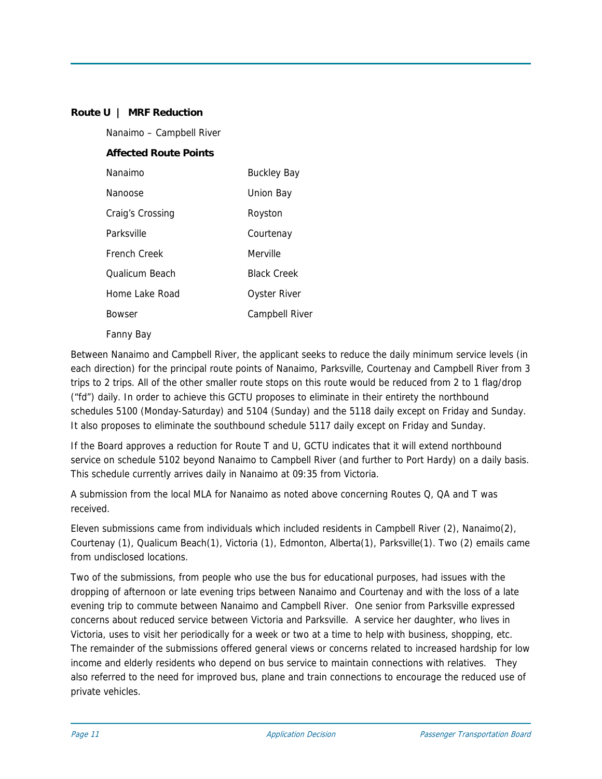#### **Route U | MRF Reduction**

Nanaimo – Campbell River

#### **Affected Route Points**

| Nanaimo          | <b>Buckley Bay</b> |
|------------------|--------------------|
| Nanoose          | Union Bay          |
| Craig's Crossing | Royston            |
| Parksville       | Courtenay          |
| French Creek     | Merville           |
| Qualicum Beach   | <b>Black Creek</b> |
| Home Lake Road   | Oyster River       |
| <b>Bowser</b>    | Campbell River     |
|                  |                    |

#### Fanny Bay

Between Nanaimo and Campbell River, the applicant seeks to reduce the daily minimum service levels (in each direction) for the principal route points of Nanaimo, Parksville, Courtenay and Campbell River from 3 trips to 2 trips. All of the other smaller route stops on this route would be reduced from 2 to 1 flag/drop ("fd") daily. In order to achieve this GCTU proposes to eliminate in their entirety the northbound schedules 5100 (Monday-Saturday) and 5104 (Sunday) and the 5118 daily except on Friday and Sunday. It also proposes to eliminate the southbound schedule 5117 daily except on Friday and Sunday.

If the Board approves a reduction for Route T and U, GCTU indicates that it will extend northbound service on schedule 5102 beyond Nanaimo to Campbell River (and further to Port Hardy) on a daily basis. This schedule currently arrives daily in Nanaimo at 09:35 from Victoria.

A submission from the local MLA for Nanaimo as noted above concerning Routes Q, QA and T was received.

Eleven submissions came from individuals which included residents in Campbell River (2), Nanaimo(2), Courtenay (1), Qualicum Beach(1), Victoria (1), Edmonton, Alberta(1), Parksville(1). Two (2) emails came from undisclosed locations.

Two of the submissions, from people who use the bus for educational purposes, had issues with the dropping of afternoon or late evening trips between Nanaimo and Courtenay and with the loss of a late evening trip to commute between Nanaimo and Campbell River. One senior from Parksville expressed concerns about reduced service between Victoria and Parksville. A service her daughter, who lives in Victoria, uses to visit her periodically for a week or two at a time to help with business, shopping, etc. The remainder of the submissions offered general views or concerns related to increased hardship for low income and elderly residents who depend on bus service to maintain connections with relatives. They also referred to the need for improved bus, plane and train connections to encourage the reduced use of private vehicles.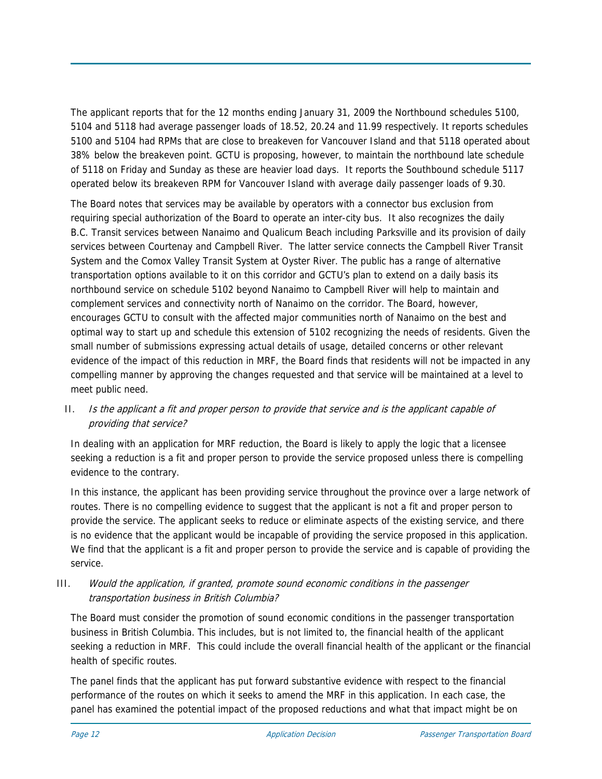The applicant reports that for the 12 months ending January 31, 2009 the Northbound schedules 5100, 5104 and 5118 had average passenger loads of 18.52, 20.24 and 11.99 respectively. It reports schedules 5100 and 5104 had RPMs that are close to breakeven for Vancouver Island and that 5118 operated about 38% below the breakeven point. GCTU is proposing, however, to maintain the northbound late schedule of 5118 on Friday and Sunday as these are heavier load days. It reports the Southbound schedule 5117 operated below its breakeven RPM for Vancouver Island with average daily passenger loads of 9.30.

The Board notes that services may be available by operators with a connector bus exclusion from requiring special authorization of the Board to operate an inter-city bus. It also recognizes the daily B.C. Transit services between Nanaimo and Qualicum Beach including Parksville and its provision of daily services between Courtenay and Campbell River. The latter service connects the Campbell River Transit System and the Comox Valley Transit System at Oyster River. The public has a range of alternative transportation options available to it on this corridor and GCTU's plan to extend on a daily basis its northbound service on schedule 5102 beyond Nanaimo to Campbell River will help to maintain and complement services and connectivity north of Nanaimo on the corridor. The Board, however, encourages GCTU to consult with the affected major communities north of Nanaimo on the best and optimal way to start up and schedule this extension of 5102 recognizing the needs of residents. Given the small number of submissions expressing actual details of usage, detailed concerns or other relevant evidence of the impact of this reduction in MRF, the Board finds that residents will not be impacted in any compelling manner by approving the changes requested and that service will be maintained at a level to meet public need.

# II. Is the applicant a fit and proper person to provide that service and is the applicant capable of providing that service?

In dealing with an application for MRF reduction, the Board is likely to apply the logic that a licensee seeking a reduction is a fit and proper person to provide the service proposed unless there is compelling evidence to the contrary.

In this instance, the applicant has been providing service throughout the province over a large network of routes. There is no compelling evidence to suggest that the applicant is not a fit and proper person to provide the service. The applicant seeks to reduce or eliminate aspects of the existing service, and there is no evidence that the applicant would be incapable of providing the service proposed in this application. We find that the applicant is a fit and proper person to provide the service and is capable of providing the service.

# III. Would the application, if granted, promote sound economic conditions in the passenger transportation business in British Columbia?

The Board must consider the promotion of sound economic conditions in the passenger transportation business in British Columbia. This includes, but is not limited to, the financial health of the applicant seeking a reduction in MRF. This could include the overall financial health of the applicant or the financial health of specific routes.

The panel finds that the applicant has put forward substantive evidence with respect to the financial performance of the routes on which it seeks to amend the MRF in this application. In each case, the panel has examined the potential impact of the proposed reductions and what that impact might be on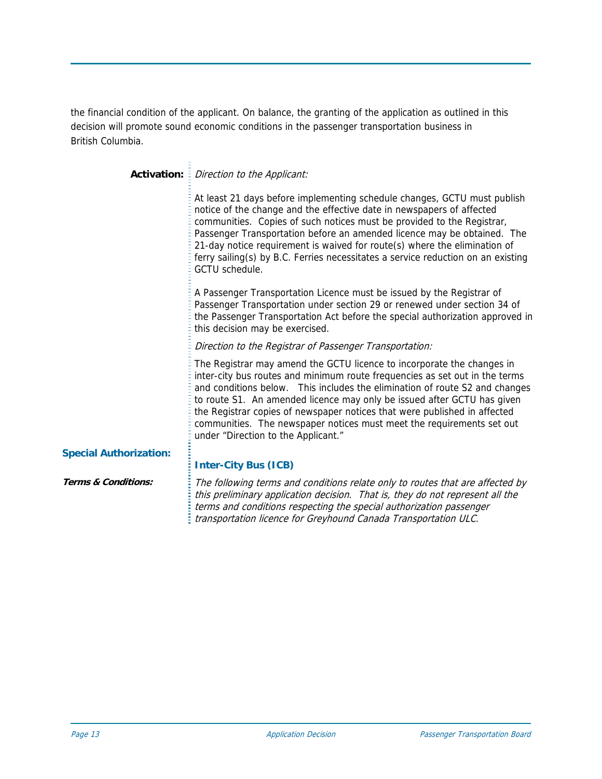the financial condition of the applicant. On balance, the granting of the application as outlined in this decision will promote sound economic conditions in the passenger transportation business in British Columbia.

# **Activation:** *Direction to the Applicant:*

At least 21 days before implementing schedule changes, GCTU must publish notice of the change and the effective date in newspapers of affected communities. Copies of such notices must be provided to the Registrar, Passenger Transportation before an amended licence may be obtained. The 21-day notice requirement is waived for route(s) where the elimination of ferry sailing(s) by B.C. Ferries necessitates a service reduction on an existing GCTU schedule.

A Passenger Transportation Licence must be issued by the Registrar of Passenger Transportation under section 29 or renewed under section 34 of the Passenger Transportation Act before the special authorization approved in this decision may be exercised.

Direction to the Registrar of Passenger Transportation:

The Registrar may amend the GCTU licence to incorporate the changes in inter-city bus routes and minimum route frequencies as set out in the terms and conditions below. This includes the elimination of route S2 and changes to route S1. An amended licence may only be issued after GCTU has given the Registrar copies of newspaper notices that were published in affected communities. The newspaper notices must meet the requirements set out under "Direction to the Applicant."

#### **Special Authorization:**

## **Inter-City Bus (ICB)**

**Terms & Conditions:** The following terms and conditions relate only to routes that are affected by this preliminary application decision. That is, they do not represent all the terms and conditions respecting the special authorization passenger transportation licence for Greyhound Canada Transportation ULC.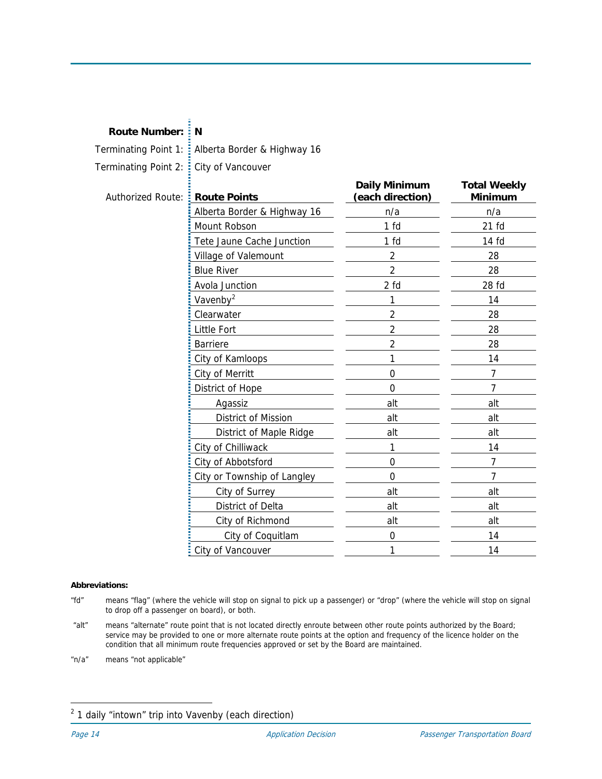# **Route Number: N**

Terminating Point 1: Alberta Border & Highway 16 Terminating Point 2: City of Vancouver

| Authorized Route: | <b>Route Points</b>         | <b>Daily Minimum</b><br>(each direction) | <b>Total Weekly</b><br>Minimum |
|-------------------|-----------------------------|------------------------------------------|--------------------------------|
|                   | Alberta Border & Highway 16 | n/a                                      | n/a                            |
|                   | Mount Robson                | 1 <sub>fd</sub>                          | $21$ fd                        |
|                   | Tete Jaune Cache Junction   | 1 <sub>fd</sub>                          | 14 fd                          |
|                   | Village of Valemount        | $\overline{2}$                           | 28                             |
|                   | <b>Blue River</b>           | $\overline{2}$                           | 28                             |
|                   | Avola Junction              | 2 fd                                     | 28 fd                          |
|                   | Vavenby <sup>2</sup>        | 1                                        | 14                             |
|                   | Clearwater                  | 2                                        | 28                             |
|                   | <b>Little Fort</b>          | $\overline{2}$                           | 28                             |
|                   | <b>Barriere</b>             | $\overline{2}$                           | 28                             |
|                   | City of Kamloops            | 1                                        | 14                             |
|                   | City of Merritt             | $\overline{0}$                           | $\overline{7}$                 |
|                   | District of Hope            | $\mathbf 0$                              | 7                              |
|                   | Agassiz                     | alt                                      | alt                            |
|                   | District of Mission         | alt                                      | alt                            |
|                   | District of Maple Ridge     | alt                                      | alt                            |
|                   | City of Chilliwack          | 1                                        | 14                             |
|                   | City of Abbotsford          | $\mathbf 0$                              | 7                              |
|                   | City or Township of Langley | $\overline{0}$                           | 7                              |
|                   | City of Surrey              | alt                                      | alt                            |
|                   | District of Delta           | alt                                      | alt                            |
|                   | City of Richmond            | alt                                      | alt                            |
|                   | City of Coquitlam           | $\Omega$                                 | 14                             |
|                   | City of Vancouver           | 1                                        | 14                             |

#### **Abbreviations:**

- "fd" means "flag" (where the vehicle will stop on signal to pick up a passenger) or "drop" (where the vehicle will stop on signal to drop off a passenger on board), or both.
- "alt" means "alternate" route point that is not located directly enroute between other route points authorized by the Board; service may be provided to one or more alternate route points at the option and frequency of the licence holder on the condition that all minimum route frequencies approved or set by the Board are maintained.
- "n/a" means "not applicable"

j

<span id="page-13-0"></span> $2$  1 daily "intown" trip into Vavenby (each direction)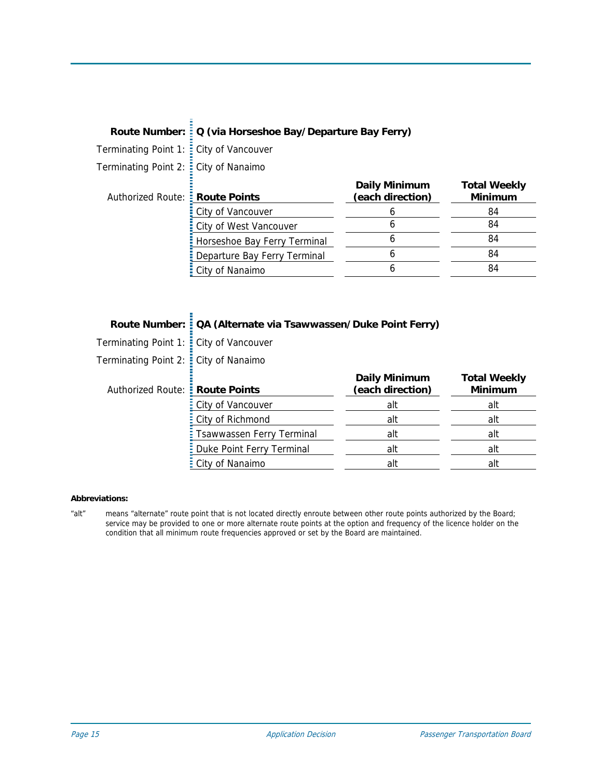| Route Number: : Q (via Horseshoe Bay/Departure Bay Ferry) |
|-----------------------------------------------------------|
|                                                           |
|                                                           |

Terminating Point 1: **E** City of Vancouver

 $\Xi$ 

Terminating Point 2: : City of Nanaimo

| Authorized Route: Route Points |                              | <b>Daily Minimum</b><br>(each direction) | <b>Total Weekly</b><br><b>Minimum</b> |
|--------------------------------|------------------------------|------------------------------------------|---------------------------------------|
|                                | City of Vancouver            |                                          | 84                                    |
|                                | City of West Vancouver       |                                          | 84                                    |
|                                | Horseshoe Bay Ferry Terminal |                                          | 84                                    |
|                                | Departure Bay Ferry Terminal |                                          | 84                                    |
|                                | City of Nanaimo              |                                          | 84                                    |
|                                |                              |                                          |                                       |

# **Route Number: QA (Alternate via Tsawwassen/Duke Point Ferry)**

Terminating Point 1: City of Vancouver

Terminating Point 2: City of Nanaimo

| Authorized Route: : Route Points |                             | <b>Daily Minimum</b><br>(each direction) | <b>Total Weekly</b><br><b>Minimum</b> |
|----------------------------------|-----------------------------|------------------------------------------|---------------------------------------|
|                                  | : City of Vancouver         | alt                                      | alt                                   |
|                                  | : City of Richmond          | alt                                      | alt                                   |
|                                  | : Tsawwassen Ferry Terminal | alt                                      | alt                                   |
|                                  | : Duke Point Ferry Terminal | alt                                      | alt                                   |
|                                  | : City of Nanaimo           | alt                                      | alt                                   |

#### **Abbreviations:**

"alt" means "alternate" route point that is not located directly enroute between other route points authorized by the Board; service may be provided to one or more alternate route points at the option and frequency of the licence holder on the condition that all minimum route frequencies approved or set by the Board are maintained.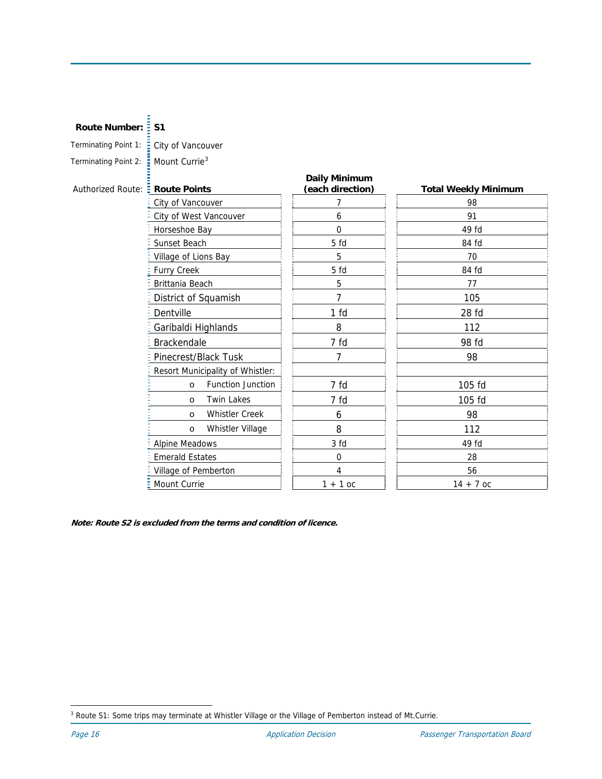#### **Route Number: 51**

| Terminating Point 1: |  |  |
|----------------------|--|--|
|                      |  |  |

City of Vancouver Terminating Point 2:  $\frac{1}{2}$  Mount Currie<sup>[3](#page-15-0)</sup>

# Authorized Route: **Route Points Daily Minimum (each direction) Total Weekly Minimum**  City of Vancouver 2008 City of West Vancouver **6** 6 91 Horseshoe Bay 0 49 fd Sunset Beach 5 fd 5 fd 84 fd Village of Lions Bay 8 70 Furry Creek 34 fd
34 fd
34 fd
34 fd
34 fd
34 fd
34 fd
34 fd
34 fd
34 fd
34 fd
34 fd
34 fd
34 fd
34 fd
34 fd
34 fd
34 fd
34 fd
34 fd
34 fd
34 fd
34 fd
34 fd
34 fd
34 fd
34 fd
34 fd
34 fd
34 fd
34 fd
34 fd
34 fd
34 fd
34 fd Brittania Beach 177 District of Squamish 105 Dentville 28 fd Garibaldi Highlands 8 112 Brackendale **1** 7 fd 98 fd Pinecrest/Black Tusk 7 7 1 98 Resort Municipality of Whistler: o Function Junction | 7 fd | 105 fd o Twin Lakes | 7 fd | 105 fd o Whistler Creek | 1 6 1 98 o Whistler Village | | 8 112 Alpine Meadows and the set of the 3 fd 49 fd 49 fd 49 fd 49 fd 49 fd 49 fd 49 fd 49 fd 49 fd 5 and 49 fd 5 and 49 fd 5 and 49 fd 5 and 49 fd 5 and 49 fd 5 and 49 fd 5 and 49 fd 5 and 49 fd 5 and 49 fd 5 and 49 fd 5 and 49 Emerald Estates 28 Village of Pemberton 1 4 4 56 Mount Currie 1 + 1 oc 14 + 7 oc

**Note: Route S2 is excluded from the terms and condition of licence.** 

<span id="page-15-0"></span><sup>-</sup><sup>3</sup> Route S1: Some trips may terminate at Whistler Village or the Village of Pemberton instead of Mt.Currie.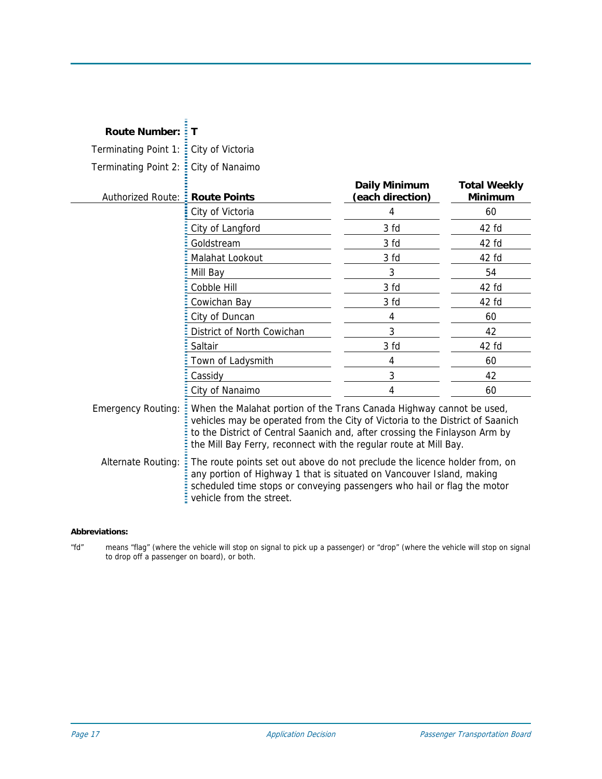| <b>Route Number:</b>                            | Т                                                                                                                                                                                                                                                                                                                                                                                                                                                                |                                          |                                       |
|-------------------------------------------------|------------------------------------------------------------------------------------------------------------------------------------------------------------------------------------------------------------------------------------------------------------------------------------------------------------------------------------------------------------------------------------------------------------------------------------------------------------------|------------------------------------------|---------------------------------------|
| Terminating Point 1:                            | City of Victoria                                                                                                                                                                                                                                                                                                                                                                                                                                                 |                                          |                                       |
| Terminating Point 2:                            | City of Nanaimo                                                                                                                                                                                                                                                                                                                                                                                                                                                  |                                          |                                       |
| Authorized Route: <b>E</b> Route Points         |                                                                                                                                                                                                                                                                                                                                                                                                                                                                  | <b>Daily Minimum</b><br>(each direction) | <b>Total Weekly</b><br><b>Minimum</b> |
|                                                 | City of Victoria                                                                                                                                                                                                                                                                                                                                                                                                                                                 | 4                                        | 60                                    |
|                                                 | City of Langford                                                                                                                                                                                                                                                                                                                                                                                                                                                 | 3 fd                                     | 42 fd                                 |
|                                                 | Goldstream                                                                                                                                                                                                                                                                                                                                                                                                                                                       | 3 fd                                     | 42 fd                                 |
|                                                 | Malahat Lookout                                                                                                                                                                                                                                                                                                                                                                                                                                                  | 3 fd                                     | 42 fd                                 |
|                                                 | Mill Bay                                                                                                                                                                                                                                                                                                                                                                                                                                                         | 3                                        | 54                                    |
|                                                 | Cobble Hill                                                                                                                                                                                                                                                                                                                                                                                                                                                      | 3 fd                                     | 42 fd                                 |
|                                                 | Cowichan Bay                                                                                                                                                                                                                                                                                                                                                                                                                                                     | 3 fd                                     | 42 fd                                 |
|                                                 | City of Duncan                                                                                                                                                                                                                                                                                                                                                                                                                                                   | 4                                        | 60                                    |
|                                                 | District of North Cowichan                                                                                                                                                                                                                                                                                                                                                                                                                                       | 3                                        | 42                                    |
|                                                 | Saltair                                                                                                                                                                                                                                                                                                                                                                                                                                                          | 3 fd                                     | 42 fd                                 |
|                                                 | Town of Ladysmith                                                                                                                                                                                                                                                                                                                                                                                                                                                | 4                                        | 60                                    |
|                                                 | Cassidy                                                                                                                                                                                                                                                                                                                                                                                                                                                          | 3                                        | 42                                    |
|                                                 | City of Nanaimo                                                                                                                                                                                                                                                                                                                                                                                                                                                  | 4                                        | 60                                    |
| <b>Emergency Routing:</b><br>Alternate Routing: | When the Malahat portion of the Trans Canada Highway cannot be used,<br>vehicles may be operated from the City of Victoria to the District of Saanich<br>to the District of Central Saanich and, after crossing the Finlayson Arm by<br>the Mill Bay Ferry, reconnect with the regular route at Mill Bay.<br>The route points set out above do not preclude the licence holder from, on<br>any portion of Highway 1 that is situated on Vancouver Island, making |                                          |                                       |
|                                                 | scheduled time stops or conveying passengers who hail or flag the motor<br>vehicle from the street.                                                                                                                                                                                                                                                                                                                                                              |                                          |                                       |

#### **Abbreviations:**

"fd" means "flag" (where the vehicle will stop on signal to pick up a passenger) or "drop" (where the vehicle will stop on signal to drop off a passenger on board), or both.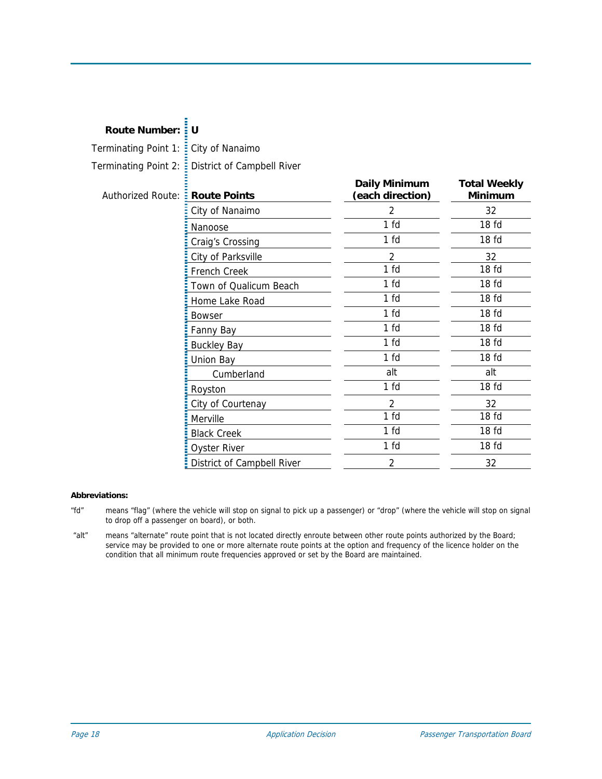| Terminating Point 1: E City of Nanaimo |                                                   |                                          |                                       |
|----------------------------------------|---------------------------------------------------|------------------------------------------|---------------------------------------|
|                                        | Terminating Point 2: E District of Campbell River |                                          |                                       |
| Authorized Route: :                    | <b>Route Points</b>                               | <b>Daily Minimum</b><br>(each direction) | <b>Total Weekly</b><br><b>Minimum</b> |
|                                        | City of Nanaimo                                   | $\mathcal{P}$                            | 32                                    |
|                                        | Nanoose                                           | 1 fd                                     | 18 <sub>fd</sub>                      |
|                                        | Craig's Crossing                                  | 1 <sub>fd</sub>                          | 18 <sub>fd</sub>                      |
|                                        | City of Parksville                                | $\mathfrak{D}$                           | 32                                    |
|                                        | French Creek                                      | 1 <sub>fd</sub>                          | 18 <sub>fd</sub>                      |
|                                        | Town of Qualicum Beach                            | 1 <sub>fd</sub>                          | 18 <sub>fd</sub>                      |
|                                        | Home Lake Road                                    | 1 <sub>fd</sub>                          | 18 <sub>fd</sub>                      |
|                                        | <b>Bowser</b>                                     | 1 <sub>fd</sub>                          | 18 fd                                 |
|                                        | Fanny Bay                                         | 1 <sub>fd</sub>                          | 18 <sub>fd</sub>                      |
|                                        | <b>Buckley Bay</b>                                | 1 fd                                     | 18 <sub>fd</sub>                      |
|                                        | Union Bay                                         | 1 fd                                     | 18 <sub>fd</sub>                      |
|                                        | Cumberland                                        | alt                                      | alt                                   |
|                                        | Royston                                           | 1 fd                                     | 18 <sub>fd</sub>                      |
|                                        | City of Courtenay                                 | $\mathfrak{D}$                           | 32                                    |
|                                        | Merville                                          | 1 <sub>fd</sub>                          | 18 <sub>fd</sub>                      |
|                                        | <b>Black Creek</b>                                | 1 <sub>fd</sub>                          | 18 <sub>fd</sub>                      |
|                                        | <b>Oyster River</b>                               | 1 <sub>fd</sub>                          | 18 fd                                 |
|                                        | District of Campbell River                        | $\overline{2}$                           | 32                                    |
|                                        |                                                   |                                          |                                       |

#### **Abbreviations:**

**Route Number: U** 

- "fd" means "flag" (where the vehicle will stop on signal to pick up a passenger) or "drop" (where the vehicle will stop on signal to drop off a passenger on board), or both.
- "alt" means "alternate" route point that is not located directly enroute between other route points authorized by the Board; service may be provided to one or more alternate route points at the option and frequency of the licence holder on the condition that all minimum route frequencies approved or set by the Board are maintained.